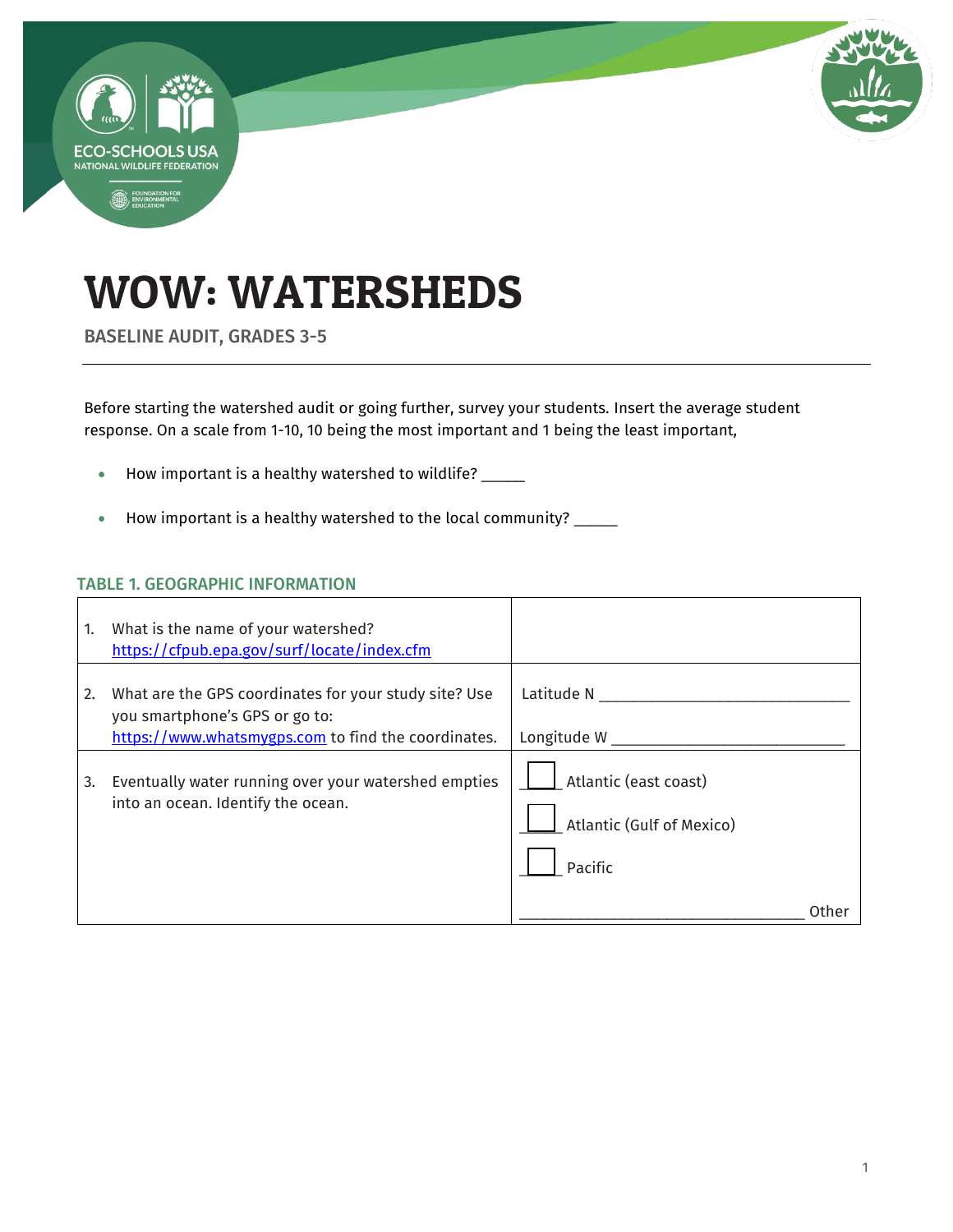

# WOW: WATERSHEDS

BASELINE AUDIT, GRADES 3-5

Before starting the watershed audit or going further, survey your students. Insert the average student response. On a scale from 1-10, 10 being the most important and 1 being the least important,

- How important is a healthy watershed to wildlife? \_\_\_\_\_
- How important is a healthy watershed to the local community? \_\_\_\_\_

### TABLE 1. GEOGRAPHIC INFORMATION

| 1. | What is the name of your watershed?<br>https://cfpub.epa.gov/surf/locate/index.cfm                                                             |                                                               |
|----|------------------------------------------------------------------------------------------------------------------------------------------------|---------------------------------------------------------------|
| 2. | What are the GPS coordinates for your study site? Use<br>you smartphone's GPS or go to:<br>https://www.whatsmygps.com to find the coordinates. | Latitude N<br>Longitude W                                     |
| 3. | Eventually water running over your watershed empties<br>into an ocean. Identify the ocean.                                                     | Atlantic (east coast)<br>Atlantic (Gulf of Mexico)<br>Pacific |
|    |                                                                                                                                                |                                                               |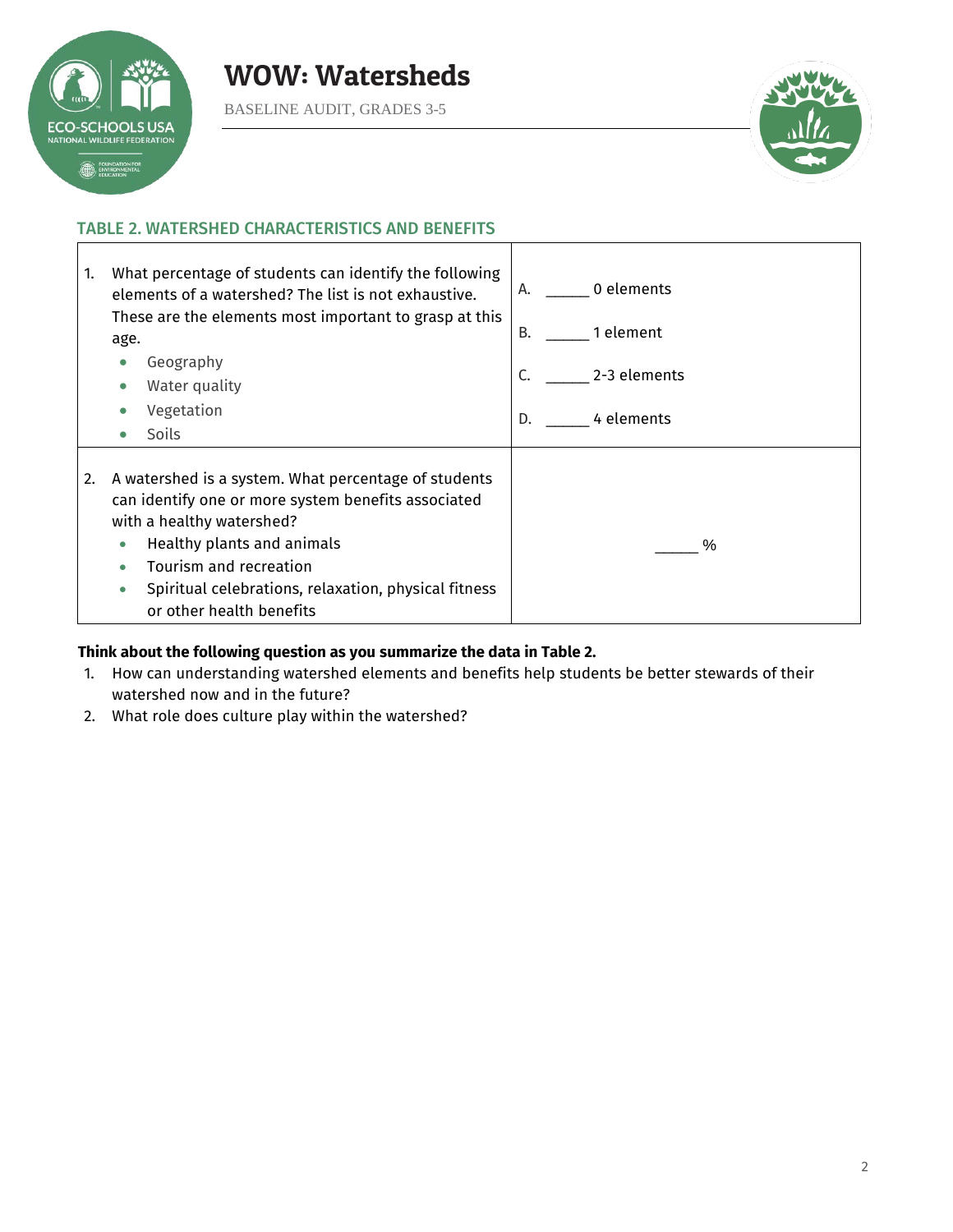

BASELINE AUDIT, GRADES 3-5



### TABLE 2. WATERSHED CHARACTERISTICS AND BENEFITS



### **Think about the following question as you summarize the data in Table 2.**

- 1. How can understanding watershed elements and benefits help students be better stewards of their watershed now and in the future?
- 2. What role does culture play within the watershed?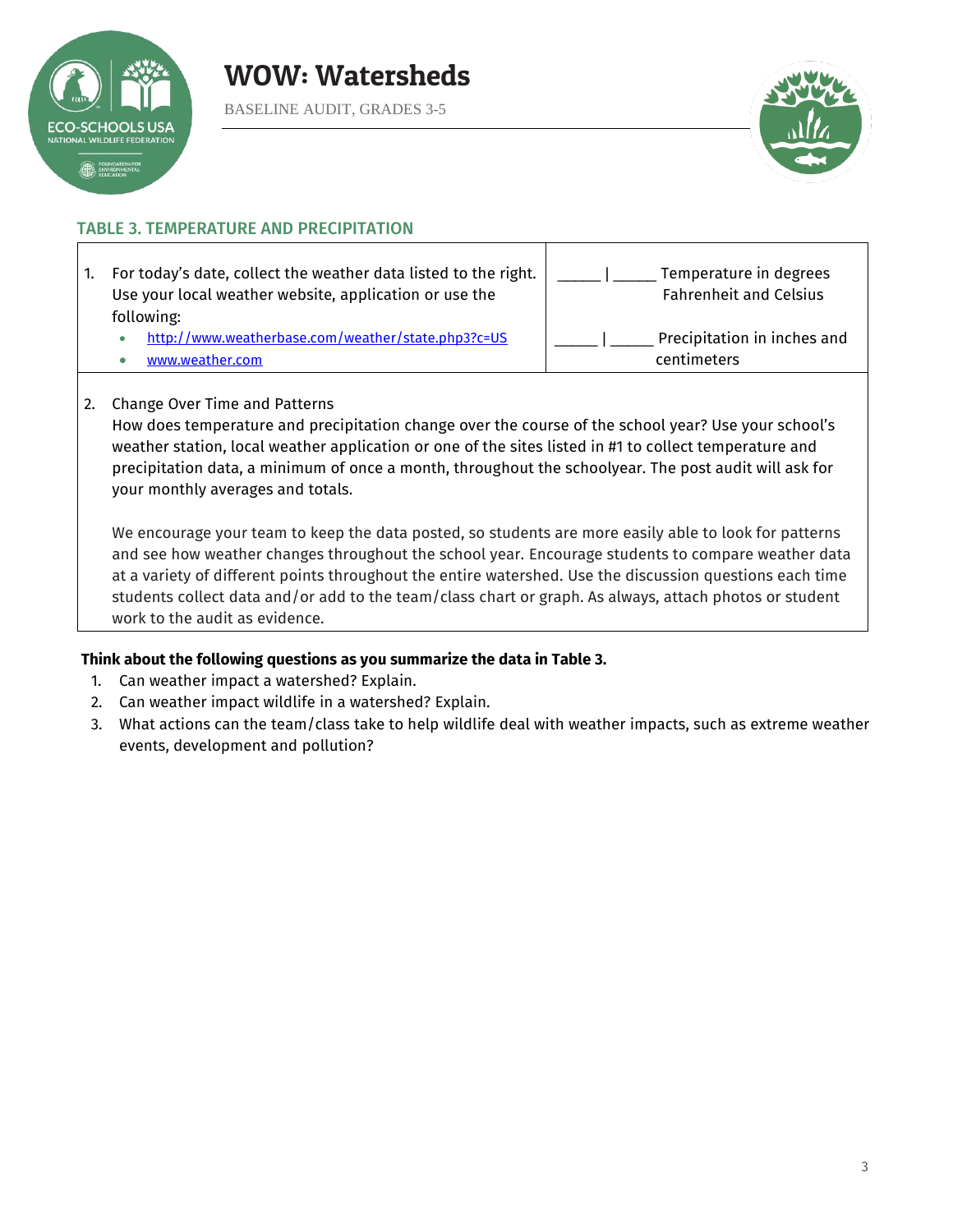

BASELINE AUDIT, GRADES 3-5



### TABLE 3. TEMPERATURE AND PRECIPITATION

| For today's date, collect the weather data listed to the right.<br>1.<br>Use your local weather website, application or use the<br>following: | Temperature in degrees<br><b>Fahrenheit and Celsius</b> |
|-----------------------------------------------------------------------------------------------------------------------------------------------|---------------------------------------------------------|
| http://www.weatherbase.com/weather/state.php3?c=US                                                                                            | Precipitation in inches and                             |
| www.weather.com                                                                                                                               | centimeters                                             |

### 2. Change Over Time and Patterns

How does temperature and precipitation change over the course of the school year? Use your school's weather station, local weather application or one of the sites listed in #1 to collect temperature and precipitation data, a minimum of once a month, throughout the schoolyear. The post audit will ask for your monthly averages and totals.

We encourage your team to keep the data posted, so students are more easily able to look for patterns and see how weather changes throughout the school year. Encourage students to compare weather data at a variety of different points throughout the entire watershed. Use the discussion questions each time students collect data and/or add to the team/class chart or graph. As always, attach photos or student work to the audit as evidence.

### **Think about the following questions as you summarize the data in Table 3.**

- 1. Can weather impact a watershed? Explain.
- 2. Can weather impact wildlife in a watershed? Explain.
- 3. What actions can the team/class take to help wildlife deal with weather impacts, such as extreme weather events, development and pollution?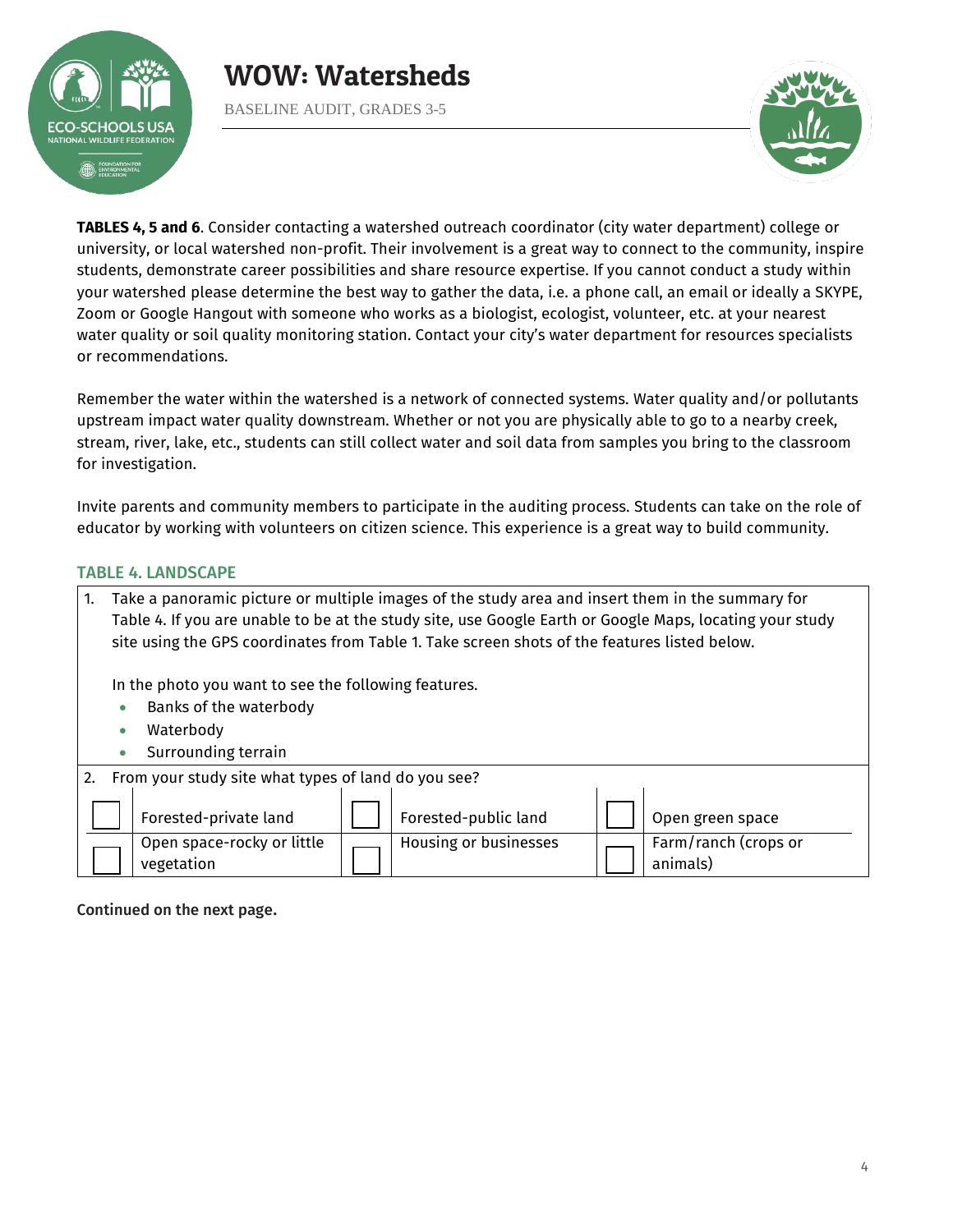

BASELINE AUDIT, GRADES 3-5



**TABLES 4, 5 and 6**. Consider contacting a watershed outreach coordinator (city water department) college or university, or local watershed non-profit. Their involvement is a great way to connect to the community, inspire students, demonstrate career possibilities and share resource expertise. If you cannot conduct a study within your watershed please determine the best way to gather the data, i.e. a phone call, an email or ideally a SKYPE, Zoom or Google Hangout with someone who works as a biologist, ecologist, volunteer, etc. at your nearest water quality or soil quality monitoring station. Contact your city's water department for resources specialists or recommendations.

Remember the water within the watershed is a network of connected systems. Water quality and/or pollutants upstream impact water quality downstream. Whether or not you are physically able to go to a nearby creek, stream, river, lake, etc., students can still collect water and soil data from samples you bring to the classroom for investigation.

Invite parents and community members to participate in the auditing process. Students can take on the role of educator by working with volunteers on citizen science. This experience is a great way to build community.

### TABLE 4. LANDSCAPE

| Take a panoramic picture or multiple images of the study area and insert them in the summary for<br>Table 4. If you are unable to be at the study site, use Google Earth or Google Maps, locating your study<br>site using the GPS coordinates from Table 1. Take screen shots of the features listed below. |                                          |  |                       |  |                                  |
|--------------------------------------------------------------------------------------------------------------------------------------------------------------------------------------------------------------------------------------------------------------------------------------------------------------|------------------------------------------|--|-----------------------|--|----------------------------------|
| In the photo you want to see the following features.<br>Banks of the waterbody<br>$\bullet$<br>Waterbody<br>٠<br>Surrounding terrain<br>$\bullet$                                                                                                                                                            |                                          |  |                       |  |                                  |
| From your study site what types of land do you see?                                                                                                                                                                                                                                                          |                                          |  |                       |  |                                  |
|                                                                                                                                                                                                                                                                                                              | Forested-private land                    |  | Forested-public land  |  | Open green space                 |
|                                                                                                                                                                                                                                                                                                              | Open space-rocky or little<br>vegetation |  | Housing or businesses |  | Farm/ranch (crops or<br>animals) |

Continued on the next page.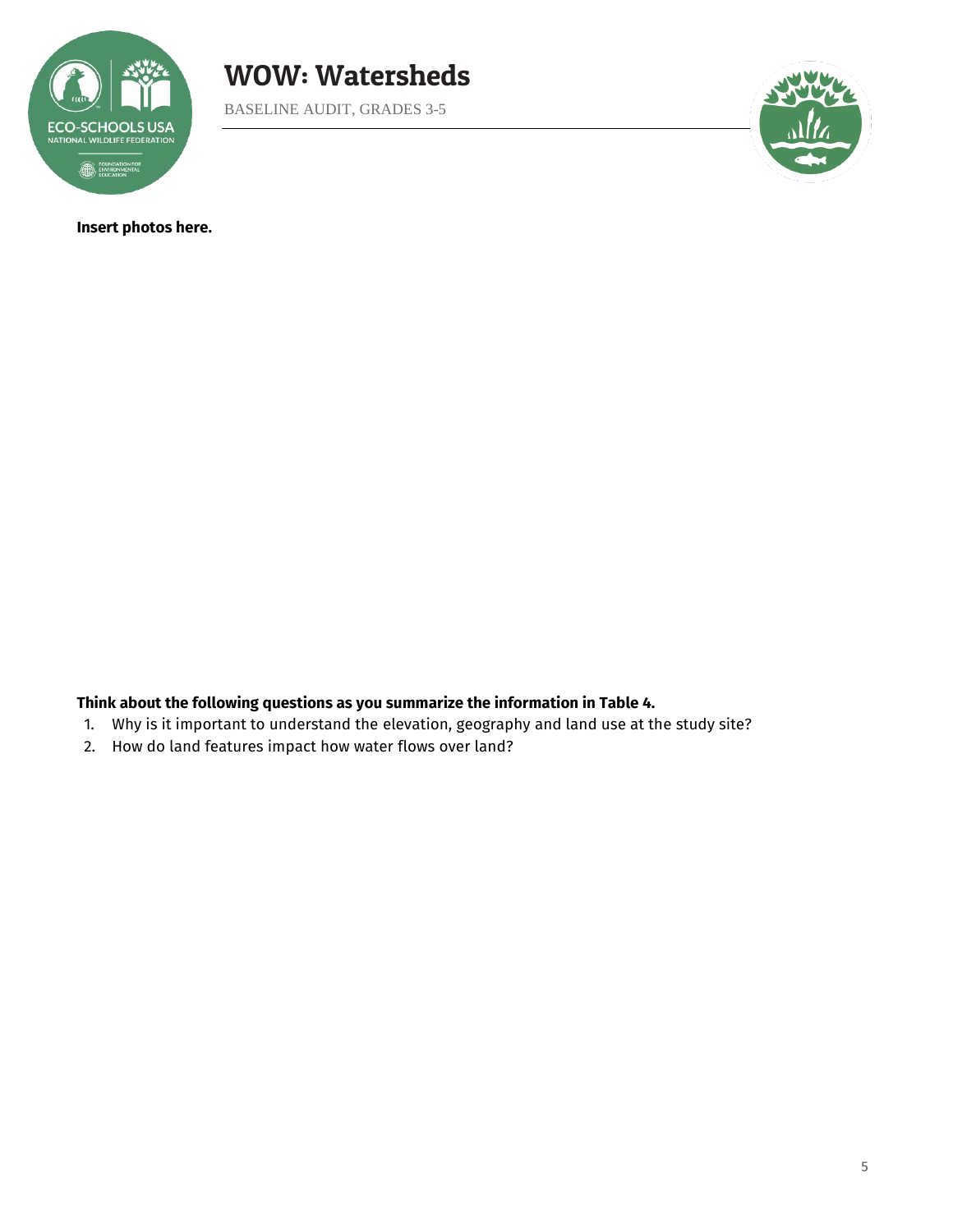

BASELINE AUDIT, GRADES 3-5



**Insert photos here.** 

**Think about the following questions as you summarize the information in Table 4.** 

- 1. Why is it important to understand the elevation, geography and land use at the study site?
- 2. How do land features impact how water flows over land?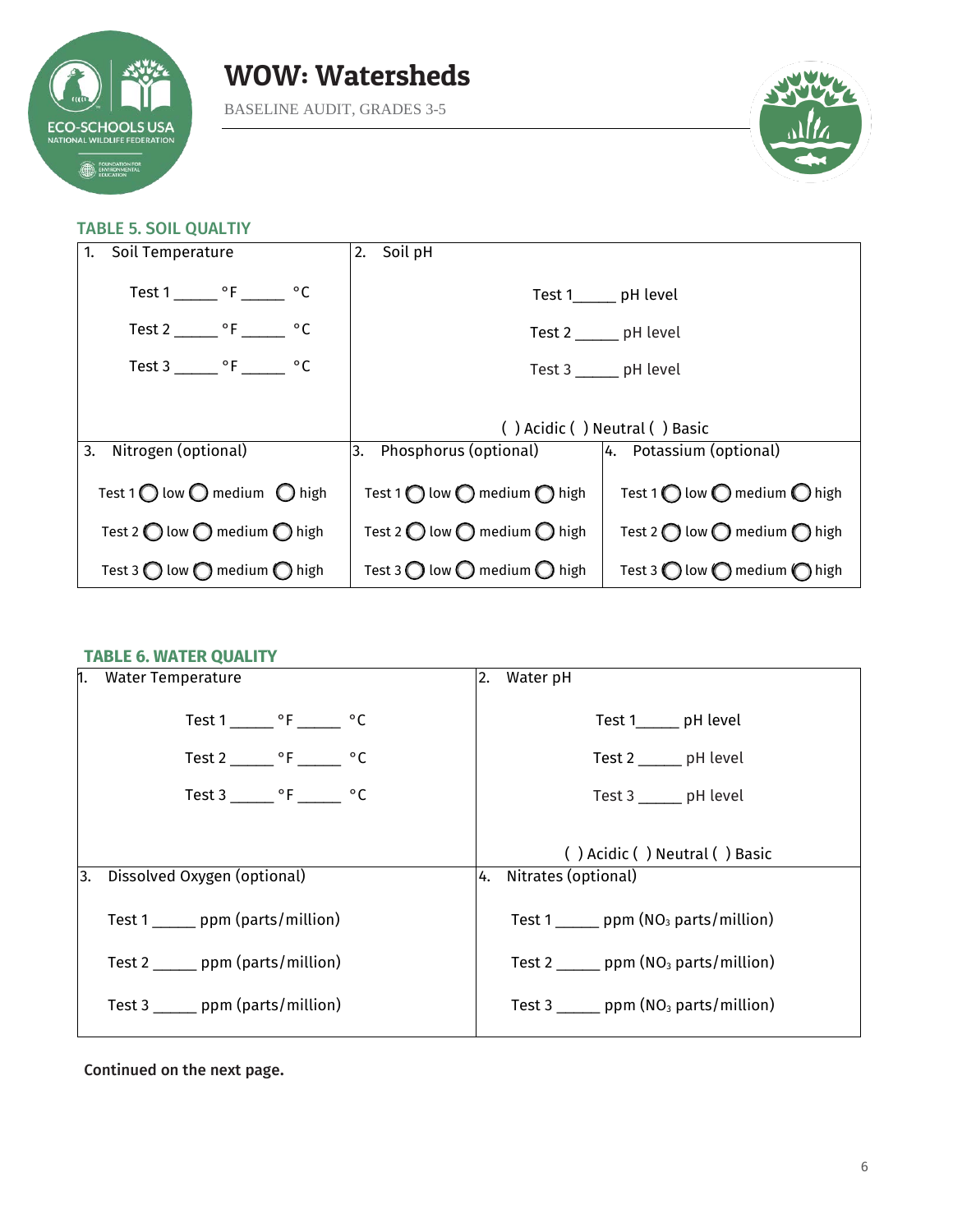

BASELINE AUDIT, GRADES 3-5



### TABLE 5. SOIL QUALTIY

| 1. Soil Temperature                                     | 2. Soil pH                                              |                                                         |  |
|---------------------------------------------------------|---------------------------------------------------------|---------------------------------------------------------|--|
| Test $1 \_ \circ F \_ \circ C$                          |                                                         | Test 1_______ pH level                                  |  |
| Test 2 $^{\circ}$ F $^{\circ}$ C                        |                                                         | Test 2 _______ pH level                                 |  |
| Test 3 _______ $\circ$ F _______ $\circ$ C              |                                                         | Test 3 ______ pH level                                  |  |
|                                                         |                                                         |                                                         |  |
|                                                         | () Acidic () Neutral () Basic                           |                                                         |  |
| 3. Nitrogen (optional)                                  | 3. Phosphorus (optional)   4. Potassium (optional)      |                                                         |  |
| Test 1 $\bigcirc$ low $\bigcirc$ medium $\bigcirc$ high | Test 1 $\bigcap$ low $\bigcap$ medium $\bigcap$ high    | Test 1 $\bigcirc$ low $\bigcirc$ medium $\bigcirc$ high |  |
| Test 2 $\bigcirc$ low $\bigcirc$ medium $\bigcirc$ high | Test 2 $\bigcirc$ low $\bigcirc$ medium $\bigcirc$ high | Test 2 $\bigcirc$ low $\bigcirc$ medium $\bigcirc$ high |  |
| Test 3 $\bigcirc$ low $\bigcirc$ medium $\bigcirc$ high | Test 3 $\bigcirc$ low $\bigcirc$ medium $\bigcirc$ high | Test 3 $\bigcirc$ low $\bigcirc$ medium $\bigcirc$ high |  |

### **TABLE 6. WATER QUALITY**

| 1. | Water Temperature                          | 2. Water pH                                              |
|----|--------------------------------------------|----------------------------------------------------------|
|    | Test $1 \_ \circ F \_ \circ C$             | Test 1______ pH level                                    |
|    | Test 2 $^{\circ}$ F $^{\circ}$ C           | Test 2 _______ pH level                                  |
|    | Test 3 _______ $\circ$ F _______ $\circ$ C | Test 3 _______ pH level                                  |
|    |                                            | () Acidic () Neutral () Basic                            |
| 3. | Dissolved Oxygen (optional)                | 4. Nitrates (optional)                                   |
|    | Test 1 ______ ppm (parts/million)          | Test 1 _______ ppm $(NO3$ parts/million)                 |
|    | Test 2 _______ ppm (parts/million)         | Test 2 ______ ppm $(NO3$ parts/million)                  |
|    | Test 3 ______ ppm (parts/million)          | Test 3 $\frac{1}{2}$ ppm (NO <sub>3</sub> parts/million) |

Continued on the next page.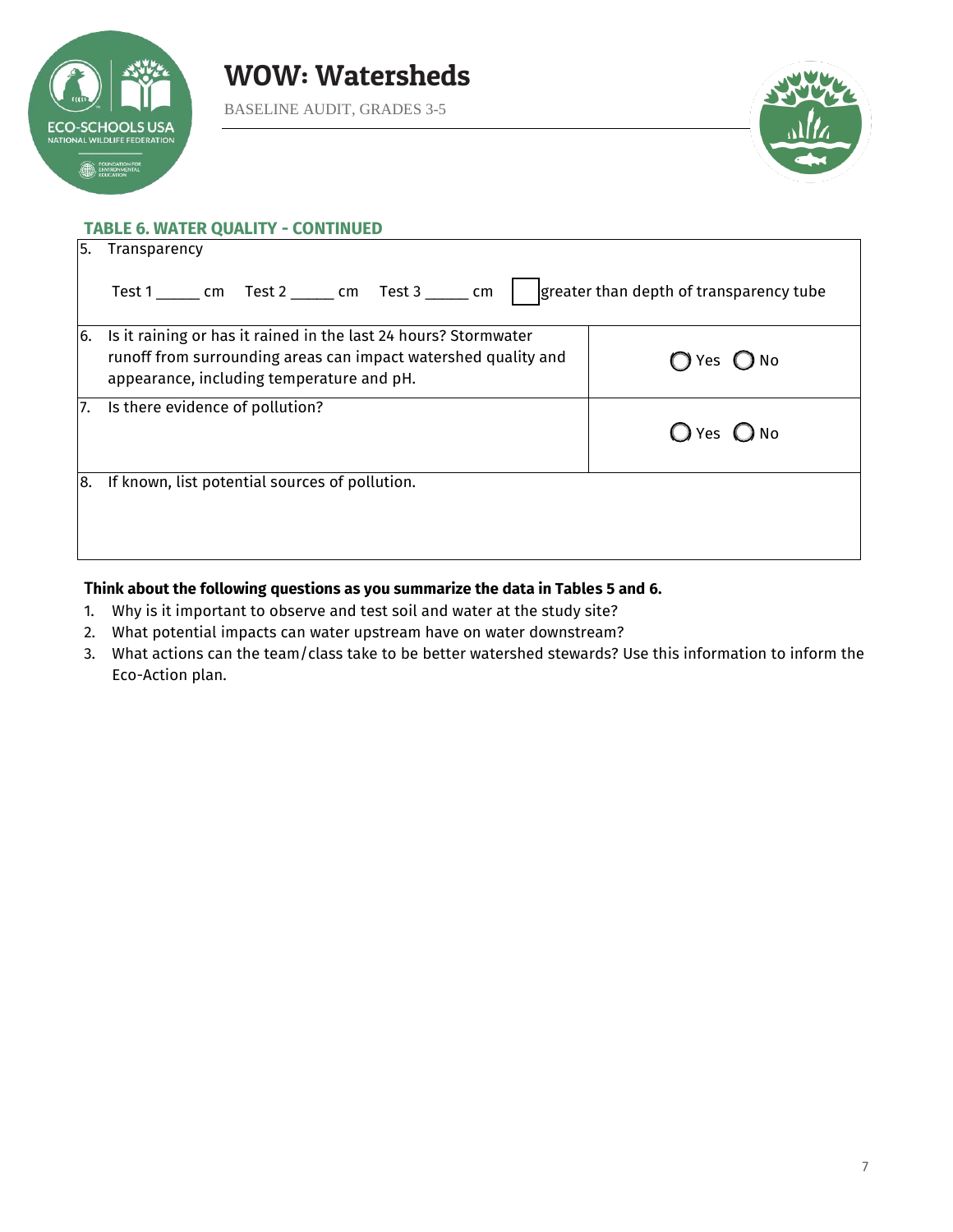

BASELINE AUDIT, GRADES 3-5



|    | <b>TABLE 6. WATER QUALITY - CONTINUED</b>                                                                                                                                      |                                         |  |
|----|--------------------------------------------------------------------------------------------------------------------------------------------------------------------------------|-----------------------------------------|--|
| 5. | Transparency                                                                                                                                                                   |                                         |  |
|    |                                                                                                                                                                                | greater than depth of transparency tube |  |
| 6. | Is it raining or has it rained in the last 24 hours? Stormwater<br>runoff from surrounding areas can impact watershed quality and<br>appearance, including temperature and pH. | $\bigcirc$ No<br>Yes                    |  |
| 7. | Is there evidence of pollution?                                                                                                                                                | $\bigcirc$ No<br>◯ Yes                  |  |
| 8. | If known, list potential sources of pollution.                                                                                                                                 |                                         |  |

### T**hink about the following questions as you summarize the data in Tables 5 and 6.**

- 1. Why is it important to observe and test soil and water at the study site?
- 2. What potential impacts can water upstream have on water downstream?
- 3. What actions can the team/class take to be better watershed stewards? Use this information to inform the Eco-Action plan.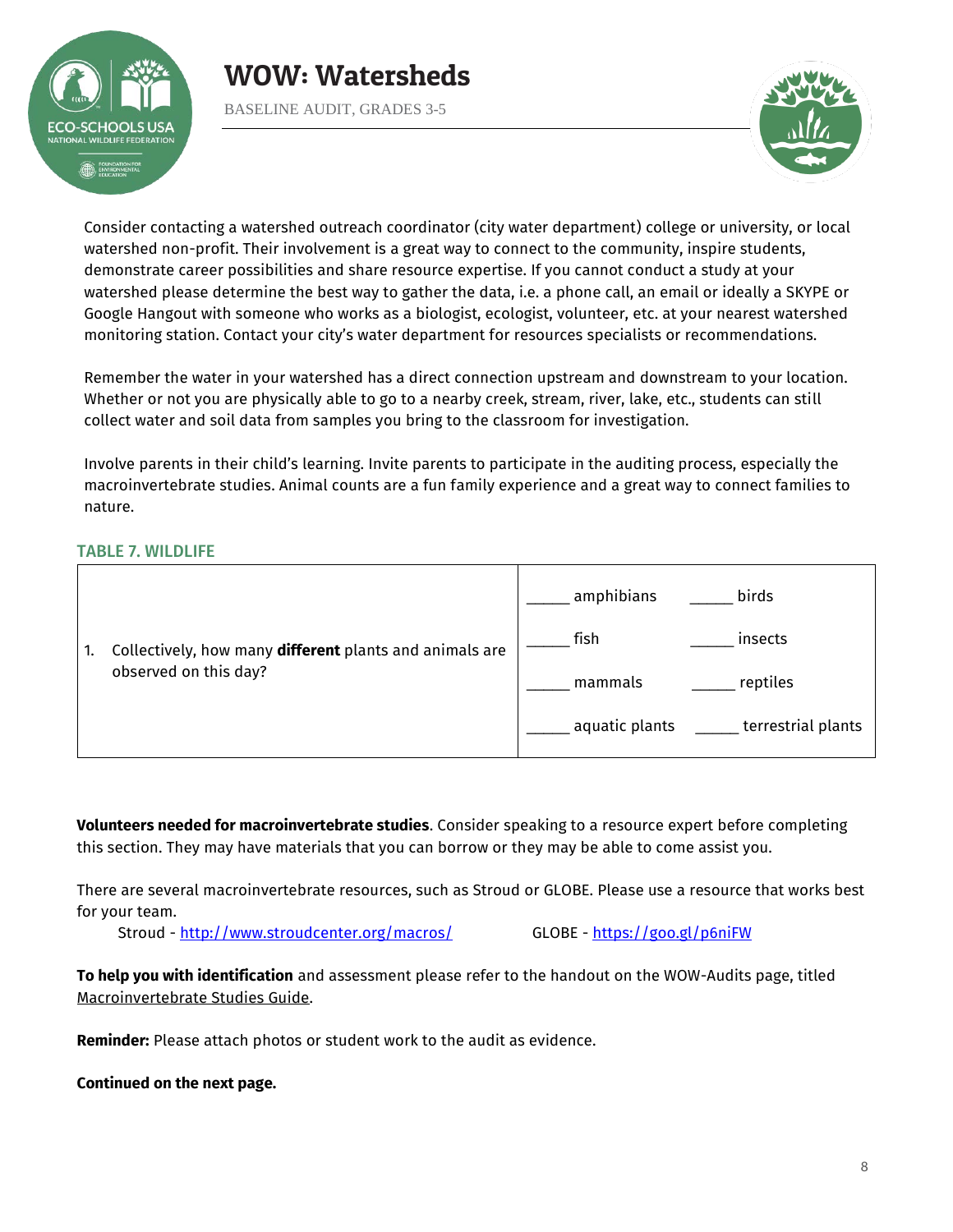

BASELINE AUDIT, GRADES 3-5



Consider contacting a watershed outreach coordinator (city water department) college or university, or local watershed non-profit. Their involvement is a great way to connect to the community, inspire students, demonstrate career possibilities and share resource expertise. If you cannot conduct a study at your watershed please determine the best way to gather the data, i.e. a phone call, an email or ideally a SKYPE or Google Hangout with someone who works as a biologist, ecologist, volunteer, etc. at your nearest watershed monitoring station. Contact your city's water department for resources specialists or recommendations.

Remember the water in your watershed has a direct connection upstream and downstream to your location. Whether or not you are physically able to go to a nearby creek, stream, river, lake, etc., students can still collect water and soil data from samples you bring to the classroom for investigation.

Involve parents in their child's learning. Invite parents to participate in the auditing process, especially the macroinvertebrate studies. Animal counts are a fun family experience and a great way to connect families to nature.

### TABLE 7. WILDLIFE

|  | Collectively, how many different plants and animals are<br>observed on this day? | amphibians<br>birds                  |  |
|--|----------------------------------------------------------------------------------|--------------------------------------|--|
|  |                                                                                  | fish<br>insects                      |  |
|  |                                                                                  | reptiles<br>mammals                  |  |
|  |                                                                                  | terrestrial plants<br>aquatic plants |  |

**Volunteers needed for macroinvertebrate studies**. Consider speaking to a resource expert before completing this section. They may have materials that you can borrow or they may be able to come assist you.

There are several macroinvertebrate resources, such as Stroud or GLOBE. Please use a resource that works best for your team.

Stroud -<http://www.stroudcenter.org/macros/>GLOBE -<https://goo.gl/p6niFW>

**To help you with identification** and assessment please refer to the handout on the WOW-Audits page, titled Macroinvertebrate Studies Guide.

**Reminder:** Please attach photos or student work to the audit as evidence.

**Continued on the next page.**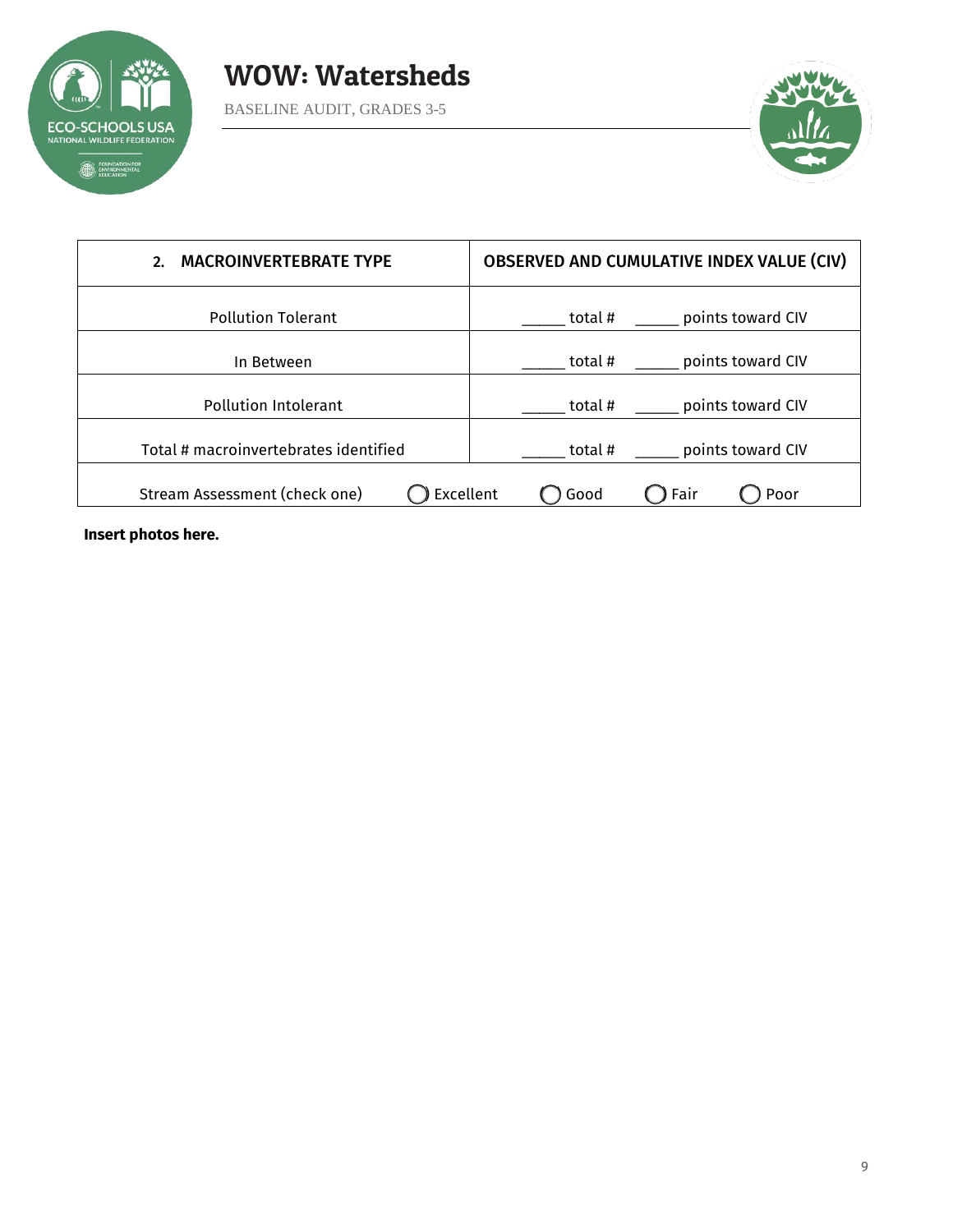



| <b>MACROINVERTEBRATE TYPE</b><br>2.        | <b>OBSERVED AND CUMULATIVE INDEX VALUE (CIV)</b> |
|--------------------------------------------|--------------------------------------------------|
| <b>Pollution Tolerant</b>                  | points toward CIV<br>total #                     |
| In Between                                 | points toward CIV<br>total #                     |
| <b>Pollution Intolerant</b>                | points toward CIV<br>total #                     |
| Total # macroinvertebrates identified      | points toward CIV<br>total #                     |
| Excellent<br>Stream Assessment (check one) | Fair<br>Good<br>Poor                             |

**Insert photos here.**